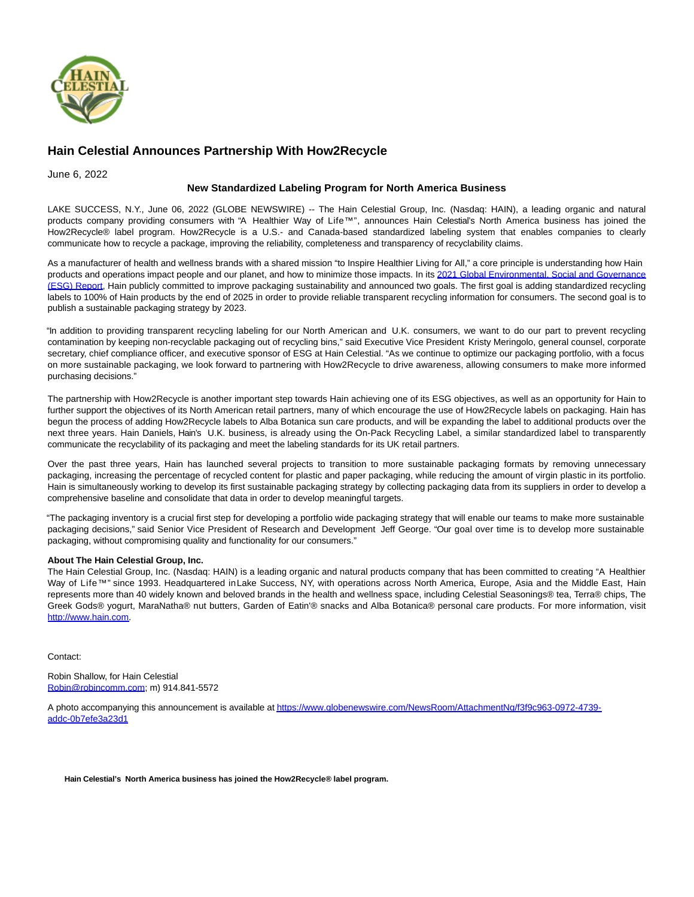

## **Hain Celestial Announces Partnership With How2Recycle**

June 6, 2022

## **New Standardized Labeling Program for North America Business**

LAKE SUCCESS, N.Y., June 06, 2022 (GLOBE NEWSWIRE) -- The Hain Celestial Group, Inc. (Nasdaq: HAIN), a leading organic and natural products company providing consumers with "A Healthier Way of Life™", announces Hain Celestial's North America business has joined the How2Recycle® label program. How2Recycle is a U.S.- and Canada-based standardized labeling system that enables companies to clearly communicate how to recycle a package, improving the reliability, completeness and transparency of recyclability claims.

As a manufacturer of health and wellness brands with a shared mission "to Inspire Healthier Living for All," a core principle is understanding how Hain products and operations impact people and our planet, and how to minimize those impacts. In its [2021 Global Environmental, Social and Governance](https://www.globenewswire.com/Tracker?data=daZOGUAVpIBJ5yDThZGBU-CqfEs7rRDusvypqLPPWtjY7wOnIP4MxBsrdmATzRi2zGdPymgYcTD_0FEV7tDUMDyP5wtahSpzgZjO2pCf4cAVhdxvDHsO9rY9uahw-ff7sWwqqAvYrSch0i1EemK4WhIi8lQlpD3DiNvwzz0OEve9jonKUEARxz9dD8eq3j0YK6rda1cgOJ5m2ubDs1um8gmJPAekBjM81E_t8aEVdeg=) (ESG) Report, Hain publicly committed to improve packaging sustainability and announced two goals. The first goal is adding standardized recycling labels to 100% of Hain products by the end of 2025 in order to provide reliable transparent recycling information for consumers. The second goal is to publish a sustainable packaging strategy by 2023.

"In addition to providing transparent recycling labeling for our North American and U.K. consumers, we want to do our part to prevent recycling contamination by keeping non-recyclable packaging out of recycling bins," said Executive Vice President Kristy Meringolo, general counsel, corporate secretary, chief compliance officer, and executive sponsor of ESG at Hain Celestial. "As we continue to optimize our packaging portfolio, with a focus on more sustainable packaging, we look forward to partnering with How2Recycle to drive awareness, allowing consumers to make more informed purchasing decisions."

The partnership with How2Recycle is another important step towards Hain achieving one of its ESG objectives, as well as an opportunity for Hain to further support the objectives of its North American retail partners, many of which encourage the use of How2Recycle labels on packaging. Hain has begun the process of adding How2Recycle labels to Alba Botanica sun care products, and will be expanding the label to additional products over the next three years. Hain Daniels, Hain's U.K. business, is already using the On-Pack Recycling Label, a similar standardized label to transparently communicate the recyclability of its packaging and meet the labeling standards for its UK retail partners.

Over the past three years, Hain has launched several projects to transition to more sustainable packaging formats by removing unnecessary packaging, increasing the percentage of recycled content for plastic and paper packaging, while reducing the amount of virgin plastic in its portfolio. Hain is simultaneously working to develop its first sustainable packaging strategy by collecting packaging data from its suppliers in order to develop a comprehensive baseline and consolidate that data in order to develop meaningful targets.

"The packaging inventory is a crucial first step for developing a portfolio wide packaging strategy that will enable our teams to make more sustainable packaging decisions," said Senior Vice President of Research and Development Jeff George. "Our goal over time is to develop more sustainable packaging, without compromising quality and functionality for our consumers."

## **About The Hain Celestial Group, Inc.**

The Hain Celestial Group, Inc. (Nasdaq: HAIN) is a leading organic and natural products company that has been committed to creating "A Healthier Way of Life™" since 1993. Headquartered in Lake Success, NY, with operations across North America, Europe, Asia and the Middle East, Hain represents more than 40 widely known and beloved brands in the health and wellness space, including Celestial Seasonings® tea, Terra® chips, The Greek Gods® yogurt, MaraNatha® nut butters, Garden of Eatin'® snacks and Alba Botanica® personal care products. For more information, visit [http://www.hain.com.](https://www.globenewswire.com/Tracker?data=Fa1DTOx0eobncTA-np3fvgFh4XOXQS6GrRXzlbqw1Mi3jjjqP16PMKXuX9b3WK8uPSBxbyJE_zVpKprjNmpPaQ==)

Contact:

Robin Shallow, for Hain Celestial [Robin@robincomm.com;](https://www.globenewswire.com/Tracker?data=VOMPuKiYOgaLK-5qQv5iU8V_vK6SQhRwAQuLaWnF0oGaDWFswUyc6gFi0xF0-wXtonVLNs28VuEFY6ZRgBfnY7a0hYSFtE1SsvNNvmuYFtw=) m) 914.841-5572

A photo accompanying this announcement is available a[t https://www.globenewswire.com/NewsRoom/AttachmentNg/f3f9c963-0972-4739](https://www.globenewswire.com/Tracker?data=yA0V77IqSJfEQAv6Zer-iYDqL2TFnGBjh_Z9DfIC49nCjJE82s22dxJudN4YPIvmE8B7JUEfnenOPN-SuM2yLctEiktW14BTfV-XoMfUWLcvMAsIqpocEH965BtiiUj5bXkqXvTrwtqizVM27D3R-MYLdDLZeW1IXJQZpjvHiqjM6LJGbtwl_PwGCN1EfDXtsIBHMbx0tOQD5_cSyIPMivRnyMhgbAG-fA1mwQkSqMpwaGULBUYG_3KBrtpQDnLygQ2Mh5o55lOBqHMbekQNGQ==) addc-0b7efe3a23d1

**Hain Celestial's North America business has joined the How2Recycle® label program.**